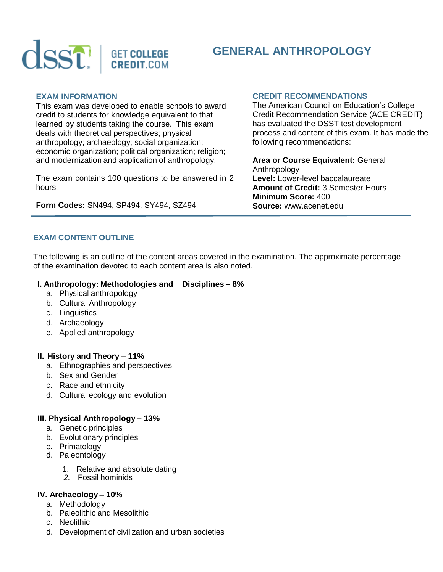

# **GENERAL ANTHROPOLOGY**

#### **EXAM INFORMATION**

This exam was developed to enable schools to award credit to students for knowledge equivalent to that learned by students taking the course. This exam deals with theoretical perspectives; physical anthropology; archaeology; social organization; economic organization; political organization; religion; and modernization and application of anthropology.

The exam contains 100 questions to be answered in 2 hours.

**Form Codes:** SN494, SP494, SY494, SZ494

#### **CREDIT RECOMMENDATIONS**

The American Council on Education's College Credit Recommendation Service (ACE CREDIT) has evaluated the DSST test development process and content of this exam. It has made the following recommendations:

**Area or Course Equivalent:** General Anthropology **Level:** Lower-level baccalaureate **Amount of Credit:** 3 Semester Hours **Minimum Score:** 400 **Source:** www.acenet.edu

## **EXAM CONTENT OUTLINE**

The following is an outline of the content areas covered in the examination. The approximate percentage of the examination devoted to each content area is also noted.

#### **I. Anthropology: Methodologies and Disciplines – 8%**

- a. Physical anthropology
- b. Cultural Anthropology
- c. Linguistics
- d. Archaeology
- e. Applied anthropology

#### **II. History and Theory – 11%**

- a. Ethnographies and perspectives
- b. Sex and Gender
- c. Race and ethnicity
- d. Cultural ecology and evolution

## **III. Physical Anthropology – 13%**

- a. Genetic principles
- b. Evolutionary principles
- c. Primatology
- d. Paleontology
	- 1. Relative and absolute dating
	- *2.* Fossil hominids

#### **IV. Archaeology – 10%**

- a. Methodology
- b. Paleolithic and Mesolithic
- c. Neolithic
- d. Development of civilization and urban societies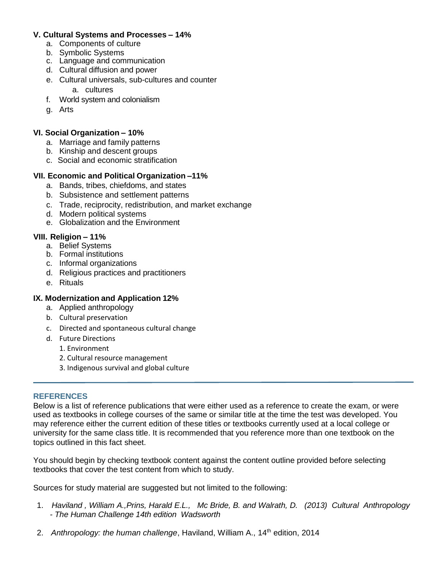## **V. Cultural Systems and Processes – 14%**

- a. Components of culture
- b. Symbolic Systems
- c. Language and communication
- d. Cultural diffusion and power
- e. Cultural universals, sub-cultures and counter
	- a. cultures
- f. World system and colonialism
- g. Arts

## **VI. Social Organization – 10%**

- a. Marriage and family patterns
- b. Kinship and descent groups
- c. Social and economic stratification

# **VII. Economic and Political Organization –11%**

- a. Bands, tribes, chiefdoms, and states
- b. Subsistence and settlement patterns
- c. Trade, reciprocity, redistribution, and market exchange
- d. Modern political systems
- e. Globalization and the Environment

# **VIII. Religion – 11%**

- a. Belief Systems
- b. Formal institutions
- c. Informal organizations
- d. Religious practices and practitioners
- e. Rituals

# **IX. Modernization and Application 12%**

- a. Applied anthropology
- b. Cultural preservation
- c. Directed and spontaneous cultural change
- d. Future Directions
	- 1. Environment
	- 2. Cultural resource management
	- 3. Indigenous survival and global culture

## **REFERENCES**

Below is a list of reference publications that were either used as a reference to create the exam, or were used as textbooks in college courses of the same or similar title at the time the test was developed. You may reference either the current edition of these titles or textbooks currently used at a local college or university for the same class title. It is recommended that you reference more than one textbook on the topics outlined in this fact sheet.

You should begin by checking textbook content against the content outline provided before selecting textbooks that cover the test content from which to study.

Sources for study material are suggested but not limited to the following:

- 1. *Haviland , William A.,Prins, Harald E.L., Mc Bride, B. and Walrath, D. (2013) Cultural Anthropology - The Human Challenge 14th edition Wadsworth*
- 2. *Anthropology: the human challenge*, Haviland, William A., 14<sup>th</sup> edition, 2014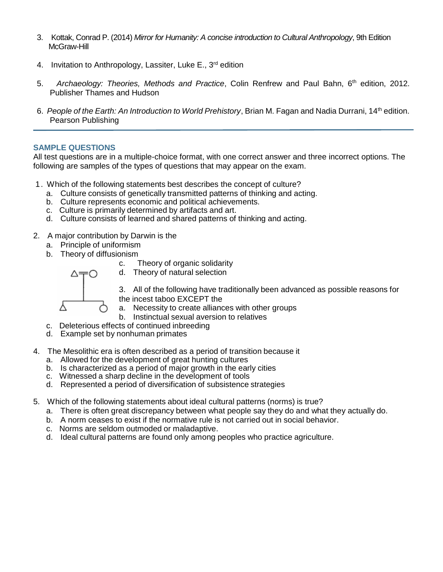- 3. Kottak, Conrad P. (2014) *Mirror for Humanity: A concise introduction to Cultural Anthropology*, 9th Edition McGraw-Hill
- 4. Invitation to Anthropology, Lassiter, Luke E., 3<sup>rd</sup> edition
- 5. *Archaeology: Theories, Methods and Practice*, Colin Renfrew and Paul Bahn, 6th edition, 2012. Publisher Thames and Hudson
- 6. *People of the Earth: An Introduction to World Prehistory*, Brian M. Fagan and Nadia Durrani, 14th edition. Pearson Publishing

## **SAMPLE QUESTIONS**

All test questions are in a multiple-choice format, with one correct answer and three incorrect options. The following are samples of the types of questions that may appear on the exam.

- 1. Which of the following statements best describes the concept of culture?
	- a. Culture consists of genetically transmitted patterns of thinking and acting.
	- b. Culture represents economic and political achievements.
	- c. Culture is primarily determined by artifacts and art.
	- d. Culture consists of learned and shared patterns of thinking and acting.
- 2. A major contribution by Darwin is the
	- a. Principle of uniformism
	- b. Theory of diffusionism

c. Theory of organic solidarity d. Theory of natural selection



Υ

3. All of the following have traditionally been advanced as possible reasons for the incest taboo EXCEPT the

- a. Necessity to create alliances with other groups
- b. Instinctual sexual aversion to relatives
- c. Deleterious effects of continued inbreeding
- d. Example set by nonhuman primates
- 4. The Mesolithic era is often described as a period of transition because it
	- a. Allowed for the development of great hunting cultures
	- b. Is characterized as a period of major growth in the early cities
	- c. Witnessed a sharp decline in the development of tools
	- d. Represented a period of diversification of subsistence strategies
- 5. Which of the following statements about ideal cultural patterns (norms) is true?
	- a. There is often great discrepancy between what people say they do and what they actually do.
	- b. A norm ceases to exist if the normative rule is not carried out in social behavior.
	- c. Norms are seldom outmoded or maladaptive.
	- d. Ideal cultural patterns are found only among peoples who practice agriculture.